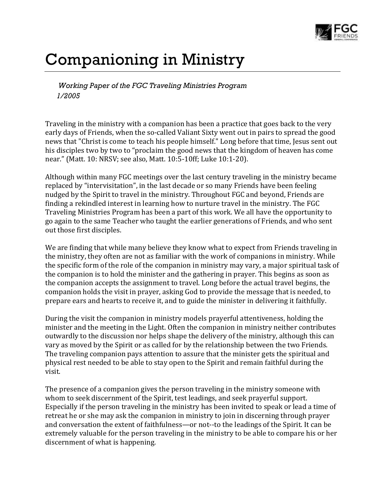

## Companioning in Ministry

*Working Paper of the FGC Traveling Ministries Program 1/2005*

Traveling in the ministry with a companion has been a practice that goes back to the very early days of Friends, when the so-called Valiant Sixty went out in pairs to spread the good news that "Christ is come to teach his people himself." Long before that time, Jesus sent out his disciples two by two to "proclaim the good news that the kingdom of heaven has come near." (Matt. 10: NRSV; see also, Matt. 10:5-10ff; Luke 10:1-20).

Although within many FGC meetings over the last century traveling in the ministry became replaced by "intervisitation", in the last decade or so many Friends have been feeling nudged by the Spirit to travel in the ministry. Throughout FGC and beyond, Friends are finding a rekindled interest in learning how to nurture travel in the ministry. The FGC Traveling Ministries Program has been a part of this work. We all have the opportunity to go again to the same Teacher who taught the earlier generations of Friends, and who sent out those first disciples.

We are finding that while many believe they know what to expect from Friends traveling in the ministry, they often are not as familiar with the work of companions in ministry. While the specific form of the role of the companion in ministry may vary, a major spiritual task of the companion is to hold the minister and the gathering in prayer. This begins as soon as the companion accepts the assignment to travel. Long before the actual travel begins, the companion holds the visit in prayer, asking God to provide the message that is needed, to prepare ears and hearts to receive it, and to guide the minister in delivering it faithfully.

During the visit the companion in ministry models prayerful attentiveness, holding the minister and the meeting in the Light. Often the companion in ministry neither contributes outwardly to the discussion nor helps shape the delivery of the ministry, although this can vary as moved by the Spirit or as called for by the relationship between the two Friends. The traveling companion pays attention to assure that the minister gets the spiritual and physical rest needed to be able to stay open to the Spirit and remain faithful during the visit.

The presence of a companion gives the person traveling in the ministry someone with whom to seek discernment of the Spirit, test leadings, and seek prayerful support. Especially if the person traveling in the ministry has been invited to speak or lead a time of retreat he or she may ask the companion in ministry to join in discerning through prayer and conversation the extent of faithfulness—or not--to the leadings of the Spirit. It can be extremely valuable for the person traveling in the ministry to be able to compare his or her discernment of what is happening.